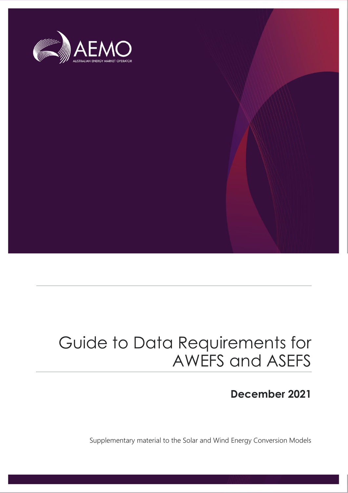

### Guide to Data Requirements for AWEFS and ASEFS

### **December 2021**

Supplementary material to the Solar and Wind Energy Conversion Models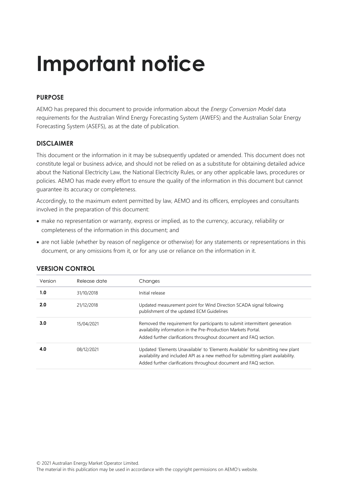# **Important notice**

### **PURPOSE**

AEMO has prepared this document to provide information about the *Energy Conversion Model* data requirements for the Australian Wind Energy Forecasting System (AWEFS) and the Australian Solar Energy Forecasting System (ASEFS), as at the date of publication.

### **DISCLAIMER**

This document or the information in it may be subsequently updated or amended. This document does not constitute legal or business advice, and should not be relied on as a substitute for obtaining detailed advice about the National Electricity Law, the National Electricity Rules, or any other applicable laws, procedures or policies. AEMO has made every effort to ensure the quality of the information in this document but cannot guarantee its accuracy or completeness.

Accordingly, to the maximum extent permitted by law, AEMO and its officers, employees and consultants involved in the preparation of this document:

- make no representation or warranty, express or implied, as to the currency, accuracy, reliability or completeness of the information in this document; and
- are not liable (whether by reason of negligence or otherwise) for any statements or representations in this document, or any omissions from it, or for any use or reliance on the information in it.

| Release date | Changes                                                                                                                                                                                                                                  |
|--------------|------------------------------------------------------------------------------------------------------------------------------------------------------------------------------------------------------------------------------------------|
| 31/10/2018   | Initial release                                                                                                                                                                                                                          |
| 21/12/2018   | Updated measurement point for Wind Direction SCADA signal following<br>publishment of the updated ECM Guidelines                                                                                                                         |
| 15/04/2021   | Removed the requirement for participants to submit intermittent generation<br>availability information in the Pre-Production Markets Portal.<br>Added further clarifications throughout document and FAQ section.                        |
| 08/12/2021   | Updated 'Elements Unavailable' to 'Elements Available' for submitting new plant<br>availability and included API as a new method for submitting plant availability.<br>Added further clarifications throughout document and FAQ section. |
|              |                                                                                                                                                                                                                                          |

### **VERSION CONTROL**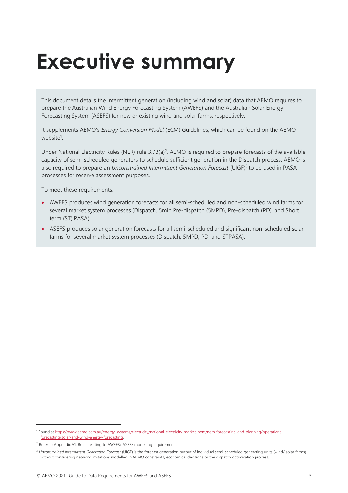## <span id="page-2-0"></span>**Executive summary**

This document details the intermittent generation (including wind and solar) data that AEMO requires to prepare the Australian Wind Energy Forecasting System (AWEFS) and the Australian Solar Energy Forecasting System (ASEFS) for new or existing wind and solar farms, respectively.

It supplements AEMO's *Energy Conversion Model* (ECM) Guidelines, which can be found on the AEMO website<sup>1</sup>.

Under National Electricity Rules (NER) rule  $3.7B(a)^2$ , AEMO is required to prepare forecasts of the available capacity of semi-scheduled generators to schedule sufficient generation in the Dispatch process. AEMO is also required to prepare an *Unconstrained Intermittent Generation Forecast* (UIGF)<sup>3</sup> to be used in PASA processes for reserve assessment purposes.

To meet these requirements:

- AWEFS produces wind generation forecasts for all semi-scheduled and non-scheduled wind farms for several market system processes (Dispatch, 5min Pre-dispatch (5MPD), Pre-dispatch (PD), and Short term (ST) PASA).
- ASEFS produces solar generation forecasts for all semi-scheduled and significant non-scheduled solar farms for several market system processes (Dispatch, 5MPD, PD, and STPASA).

<sup>&</sup>lt;sup>1</sup> Found a[t https://www.aemo.com.au/energy-systems/electricity/national-electricity-market-nem/nem-forecasting-and-planning/operational](https://www.aemo.com.au/energy-systems/electricity/national-electricity-market-nem/nem-forecasting-and-planning/operational-forecasting/solar-and-wind-energy-forecasting)[forecasting/solar-and-wind-energy-forecasting.](https://www.aemo.com.au/energy-systems/electricity/national-electricity-market-nem/nem-forecasting-and-planning/operational-forecasting/solar-and-wind-energy-forecasting)

<sup>&</sup>lt;sup>2</sup> Refer to Appendix A1, Rules relating to AWEFS/ ASEFS modelling requirements.

<sup>3</sup> *Unconstrained Intermittent Generation Forecast* (UIGF) is the forecast generation output of individual semi-scheduled generating units (wind/ solar farms) without considering network limitations modelled in AEMO constraints, economical decisions or the dispatch optimisation process.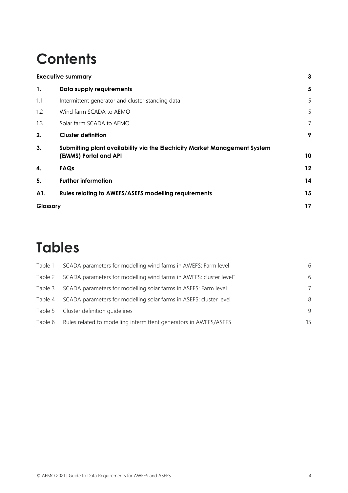### **Contents**

|          | <b>Executive summary</b>                                                                            | 3  |
|----------|-----------------------------------------------------------------------------------------------------|----|
| 1.       | Data supply requirements                                                                            | 5  |
| 1.1      | Intermittent generator and cluster standing data                                                    | 5  |
| 1.2      | Wind farm SCADA to AEMO                                                                             | 5  |
| 1.3      | Solar farm SCADA to AEMO                                                                            | 7  |
| 2.       | <b>Cluster definition</b>                                                                           | 9  |
| 3.       | Submitting plant availability via the Electricity Market Management System<br>(EMMS) Portal and API | 10 |
| 4.       | FAQs                                                                                                | 12 |
| 5.       | <b>Further information</b>                                                                          | 14 |
| A1.      | <b>Rules relating to AWEFS/ASEFS modelling requirements</b>                                         | 15 |
| Glossary |                                                                                                     | 17 |

### **Tables**

| Table 1 | SCADA parameters for modelling wind farms in AWEFS: Farm level     | 6  |
|---------|--------------------------------------------------------------------|----|
| Table 2 | SCADA parameters for modelling wind farms in AWEFS: cluster level* | 6  |
| Table 3 | SCADA parameters for modelling solar farms in ASEFS: Farm level    | 7  |
| Table 4 | SCADA parameters for modelling solar farms in ASEFS: cluster level | 8  |
|         | Table 5 Cluster definition quidelines                              | 9  |
| Table 6 | Rules related to modelling intermittent generators in AWEFS/ASEFS  | 15 |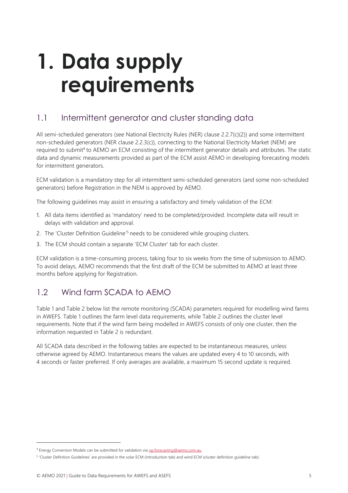## <span id="page-4-0"></span>**1. Data supply requirements**

### <span id="page-4-1"></span>1.1 Intermittent generator and cluster standing data

All semi-scheduled generators (see National Electricity Rules (NER) clause 2.2.7(c)(2)) and some intermittent non-scheduled generators (NER clause 2.2.3(c)), connecting to the National Electricity Market (NEM) are required to submit<sup>4</sup> to AEMO an ECM consisting of the intermittent generator details and attributes. The static data and dynamic measurements provided as part of the ECM assist AEMO in developing forecasting models for intermittent generators.

ECM validation is a mandatory step for all intermittent semi-scheduled generators (and some non-scheduled generators) before Registration in the NEM is approved by AEMO.

The following guidelines may assist in ensuring a satisfactory and timely validation of the ECM:

- 1. All data items identified as 'mandatory' need to be completed/provided. Incomplete data will result in delays with validation and approval.
- 2. The 'Cluster Definition Guideline<sup>'5</sup> needs to be considered while grouping clusters.
- 3. The ECM should contain a separate 'ECM Cluster' tab for each cluster.

ECM validation is a time-consuming process, taking four to six weeks from the time of submission to AEMO. To avoid delays, AEMO recommends that the first draft of the ECM be submitted to AEMO at least three months before applying for Registration.

### <span id="page-4-2"></span>1.2 Wind farm SCADA to AEMO

Table 1 and Table 2 below list the remote monitoring (SCADA) parameters required for modelling wind farms in AWEFS. Table 1 outlines the farm level data requirements, while Table 2 outlines the cluster level requirements. Note that if the wind farm being modelled in AWEFS consists of only one cluster, then the information requested in Table 2 is redundant.

All SCADA data described in the following tables are expected to be instantaneous measures, unless otherwise agreed by AEMO. Instantaneous means the values are updated every 4 to 10 seconds, with 4 seconds or faster preferred. If only averages are available, a maximum 15 second update is required.

<sup>4</sup> Energy Conversion Models can be submitted for validation vi[a op.forecasting@aemo.com.au.](mailto:op.forecasting@aemo.com.au)

<sup>&</sup>lt;sup>5</sup> 'Cluster Definition Guidelines' are provided in the solar ECM (introduction tab) and wind ECM (cluster definition guideline tab).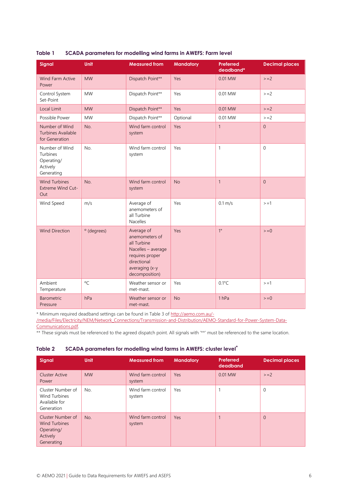| Signal                                                             | <b>Unit</b>            | <b>Measured from</b>                                                                                                                    | <b>Mandatory</b> | Preferred<br>deadband* | <b>Decimal places</b> |
|--------------------------------------------------------------------|------------------------|-----------------------------------------------------------------------------------------------------------------------------------------|------------------|------------------------|-----------------------|
| <b>Wind Farm Active</b><br>Power                                   | <b>MW</b>              | Dispatch Point**                                                                                                                        | Yes              | 0.01 MW                | $>= 2$                |
| Control System<br>Set-Point                                        | <b>MW</b>              | Dispatch Point**                                                                                                                        | Yes              | 0.01 MW                | $>=2$                 |
| <b>Local Limit</b>                                                 | <b>MW</b>              | Dispatch Point**                                                                                                                        | Yes              | 0.01 MW                | $>=2$                 |
| Possible Power                                                     | <b>MW</b>              | Dispatch Point**                                                                                                                        | Optional         | 0.01 MW                | $> = 2$               |
| Number of Wind<br><b>Turbines Available</b><br>for Generation      | No.                    | Wind farm control<br>system                                                                                                             | Yes              | $\mathbf{1}$           | $\overline{0}$        |
| Number of Wind<br>Turbines<br>Operating/<br>Actively<br>Generating | No.                    | Wind farm control<br>system                                                                                                             | Yes              | $\mathbf{1}$           | $\Omega$              |
| <b>Wind Turbines</b><br>Extreme Wind Cut-<br>Out                   | No.                    | Wind farm control<br>system                                                                                                             | <b>No</b>        | $\mathbf{1}$           | $\Omega$              |
| Wind Speed                                                         | m/s                    | Average of<br>anemometers of<br>all Turbine<br><b>Nacelles</b>                                                                          | Yes              | $0.1 \text{ m/s}$      | $> = 1$               |
| <b>Wind Direction</b>                                              | <sup>o</sup> (degrees) | Average of<br>anemometers of<br>all Turbine<br>Nacelles - average<br>requires proper<br>directional<br>averaging (x-y<br>decomposition) | Yes              | $1^{\circ}$            | $> = 0$               |
| Ambient<br>Temperature                                             | $^{\circ}C$            | Weather sensor or<br>met-mast.                                                                                                          | Yes              | $0.1^{\circ}$ C        | $> = 1$               |
| <b>Barometric</b><br>Pressure                                      | hPa                    | Weather sensor or<br>met-mast.                                                                                                          | <b>No</b>        | 1 <sub>hPa</sub>       | $> = 0$               |

#### <span id="page-5-0"></span>**Table 1 SCADA parameters for modelling wind farms in AWEFS: Farm level**

\* Minimum required deadband settings can be found in Table 3 of [http://aemo.com.au/-](http://aemo.com.au/-/media/Files/Electricity/NEM/Network_Connections/Transmission-and-Distribution/AEMO-Standard-for-Power-System-Data-Communications.pdf)

[/media/Files/Electricity/NEM/Network\\_Connections/Transmission-and-Distribution/AEMO-Standard-for-Power-System-Data-](http://aemo.com.au/-/media/Files/Electricity/NEM/Network_Connections/Transmission-and-Distribution/AEMO-Standard-for-Power-System-Data-Communications.pdf)[Communications.pdf.](http://aemo.com.au/-/media/Files/Electricity/NEM/Network_Connections/Transmission-and-Distribution/AEMO-Standard-for-Power-System-Data-Communications.pdf)

\*\* These signals must be referenced to the agreed dispatch point. All signals with '\*\*' must be referenced to the same location.

#### <span id="page-5-1"></span>**Table 2 SCADA parameters for modelling wind farms in AWEFS: cluster level\***

| Signal                                                                            | <b>Unit</b> | <b>Measured from</b>        | <b>Mandatory</b> | Preferred<br>deadband | <b>Decimal places</b> |
|-----------------------------------------------------------------------------------|-------------|-----------------------------|------------------|-----------------------|-----------------------|
| Cluster Active<br>Power                                                           | <b>MW</b>   | Wind farm control<br>system | Yes              | 0.01 MW               | $>=2$                 |
| Cluster Number of<br>Wind Turbines<br>Available for<br>Generation                 | No.         | Wind farm control<br>system | Yes              |                       | $\mathbf 0$           |
| Cluster Number of<br><b>Wind Turbines</b><br>Operating/<br>Actively<br>Generating | No.         | Wind farm control<br>system | Yes              |                       | $\Omega$              |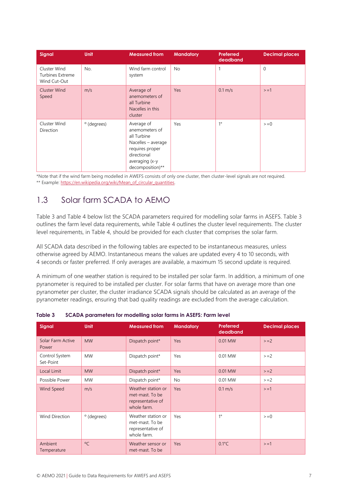| <b>Signal</b>                                    | <b>Unit</b>            | <b>Measured from</b>                                                                                                                      | <b>Mandatory</b> | Preferred<br>deadband | <b>Decimal places</b> |
|--------------------------------------------------|------------------------|-------------------------------------------------------------------------------------------------------------------------------------------|------------------|-----------------------|-----------------------|
| Cluster Wind<br>Turbines Extreme<br>Wind Cut-Out | No.                    | Wind farm control<br>system                                                                                                               | <b>No</b>        | 1                     | $\mathbf{0}$          |
| Cluster Wind<br>Speed                            | m/s                    | Average of<br>anemometers of<br>all Turbine<br>Nacelles in this<br>cluster                                                                | Yes              | $0.1 \text{ m/s}$     | $> = 1$               |
| Cluster Wind<br>Direction                        | <sup>o</sup> (degrees) | Average of<br>anemometers of<br>all Turbine<br>Nacelles - average<br>requires proper<br>directional<br>averaging (x-y<br>decomposition)** | Yes              | $1^{\circ}$           | $=0$                  |

\*Note that if the wind farm being modelled in AWEFS consists of only one cluster, then cluster-level signals are not required. \*\* Example: [https://en.wikipedia.org/wiki/Mean\\_of\\_circular\\_quantities.](https://en.wikipedia.org/wiki/Mean_of_circular_quantities)

### <span id="page-6-0"></span>1.3 Solar farm SCADA to AEMO

Table 3 and Table 4 below list the SCADA parameters required for modelling solar farms in ASEFS. Table 3 outlines the farm level data requirements, while Table 4 outlines the cluster level requirements. The cluster level requirements, in Table 4, should be provided for each cluster that comprises the solar farm.

All SCADA data described in the following tables are expected to be instantaneous measures, unless otherwise agreed by AEMO. Instantaneous means the values are updated every 4 to 10 seconds, with 4 seconds or faster preferred. If only averages are available, a maximum 15 second update is required.

A minimum of one weather station is required to be installed per solar farm. In addition, a minimum of one pyranometer is required to be installed per cluster. For solar farms that have on average more than one pyranometer per cluster, the cluster irradiance SCADA signals should be calculated as an average of the pyranometer readings, ensuring that bad quality readings are excluded from the average calculation.

| <b>Signal</b>               | <b>Unit</b>            | <b>Measured from</b>                                                      | <b>Mandatory</b> | <b>Preferred</b><br>deadband | <b>Decimal places</b> |
|-----------------------------|------------------------|---------------------------------------------------------------------------|------------------|------------------------------|-----------------------|
| Solar Farm Active<br>Power  | <b>MW</b>              | Dispatch point*                                                           | Yes              | 0.01 MW                      | $>=2$                 |
| Control System<br>Set-Point | <b>MW</b>              | Dispatch point*                                                           | Yes              | 0.01 MW                      | $>=2$                 |
| Local Limit                 | <b>MW</b>              | Dispatch point*                                                           | Yes              | 0.01 MW                      | $>=2$                 |
| Possible Power              | <b>MW</b>              | Dispatch point*                                                           | No               | 0.01 MW                      | $>=2$                 |
| Wind Speed                  | m/s                    | Weather station or<br>met-mast. To be<br>representative of<br>whole farm. | Yes              | $0.1 \text{ m/s}$            | $> = 1$               |
| <b>Wind Direction</b>       | <sup>o</sup> (degrees) | Weather station or<br>met-mast. To be<br>representative of<br>whole farm. | Yes              | $1^{\circ}$                  | $> = 0$               |
| Ambient<br>Temperature      | $^{\circ}$ C           | Weather sensor or<br>met-mast. To be                                      | Yes              | $0.1^{\circ}$ C              | $> = 1$               |

<span id="page-6-1"></span>

| Table 3 |  |  | SCADA parameters for modelling solar farms in ASEFS: Farm level |
|---------|--|--|-----------------------------------------------------------------|
|         |  |  |                                                                 |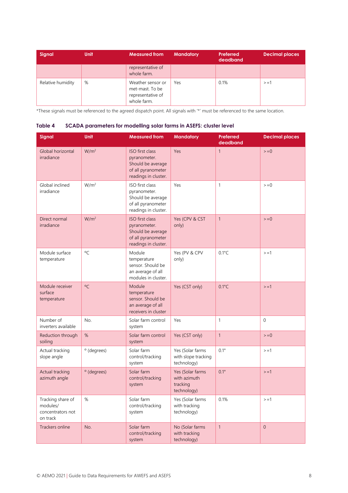| Signal            | <b>Unit</b> | <b>Measured from</b>                                                     | <b>Mandatory</b> | Preferred<br>deadband | <b>Decimal places</b> |
|-------------------|-------------|--------------------------------------------------------------------------|------------------|-----------------------|-----------------------|
|                   |             | representative of<br>whole farm.                                         |                  |                       |                       |
| Relative humidity | %           | Weather sensor or<br>met-mast. To be<br>representative of<br>whole farm. | Yes              | 0.1%                  | $> = 1$               |

\*These signals must be referenced to the agreed dispatch point. All signals with '\*' must be referenced to the same location.

| Signal                                                         | Unit             | <b>Measured from</b>                                                                               | <b>Mandatory</b>                                            | <b>Preferred</b><br>deadband | <b>Decimal places</b> |
|----------------------------------------------------------------|------------------|----------------------------------------------------------------------------------------------------|-------------------------------------------------------------|------------------------------|-----------------------|
| Global horizontal<br>irradiance                                | W/m <sup>2</sup> | ISO first class<br>pyranometer.<br>Should be average<br>of all pyranometer<br>readings in cluster. | Yes                                                         | $\mathbf{1}$                 | $=0$                  |
| Global inclined<br>irradiance                                  | W/m <sup>2</sup> | ISO first class<br>pyranometer.<br>Should be average<br>of all pyranometer<br>readings in cluster. | Yes                                                         | $\mathbf{1}$                 | $=0$                  |
| Direct normal<br>irradiance                                    | W/m <sup>2</sup> | ISO first class<br>pyranometer.<br>Should be average<br>of all pyranometer<br>readings in cluster. | Yes (CPV & CST<br>only)                                     | $\mathbf{1}$                 | $=0$                  |
| Module surface<br>temperature                                  | $\rm ^{o}C$      | Module<br>temperature<br>sensor. Should be<br>an average of all<br>modules in cluster.             | Yes (PV & CPV<br>only)                                      | $0.1^{\circ}$ C              | $> = 1$               |
| Module receiver<br>surface<br>temperature                      | $\circ$ C        | Module<br>temperature<br>sensor. Should be<br>an average of all<br>receivers in cluster            | Yes (CST only)                                              | $0.1^{\circ}C$               | $> = 1$               |
| Number of<br>inverters available                               | No.              | Solar farm control<br>system                                                                       | Yes                                                         | $\mathbf{1}$                 | $\mathbf 0$           |
| Reduction through<br>soiling                                   | $\%$             | Solar farm control<br>system                                                                       | Yes (CST only)                                              | $\mathbf{1}$                 | $>=0$                 |
| Actual tracking<br>slope angle                                 | ° (degrees)      | Solar farm<br>control/tracking<br>system                                                           | Yes (Solar farms<br>with slope tracking<br>technology)      | $0.1^{\circ}$                | $> = 1$               |
| Actual tracking<br>azimuth angle                               | ° (degrees)      | Solar farm<br>control/tracking<br>system                                                           | Yes (Solar farms<br>with azimuth<br>tracking<br>technology) | $0.1^\circ$                  | $> = 1$               |
| Tracking share of<br>modules/<br>concentrators not<br>on track | $\%$             | Solar farm<br>control/tracking<br>system                                                           | Yes (Solar farms<br>with tracking<br>technology)            | 0.1%                         | $> = 1$               |
| Trackers online                                                | No.              | Solar farm<br>control/tracking<br>system                                                           | No (Solar farms<br>with tracking<br>technology)             | $\mathbf{1}$                 | $\overline{0}$        |

### <span id="page-7-0"></span>**Table 4 SCADA parameters for modelling solar farms in ASEFS: cluster level**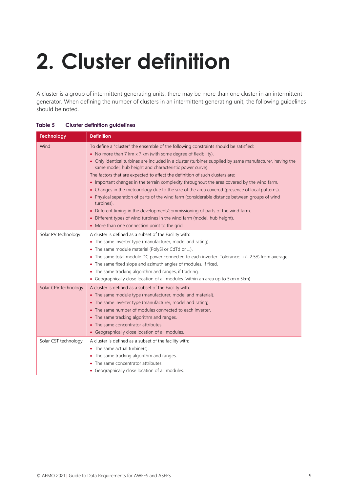# <span id="page-8-0"></span>**2. Cluster definition**

A cluster is a group of intermittent generating units; there may be more than one cluster in an intermittent generator. When defining the number of clusters in an intermittent generating unit, the following guidelines should be noted.

| <b>Technology</b>    | <b>Definition</b>                                                                                                                                                  |
|----------------------|--------------------------------------------------------------------------------------------------------------------------------------------------------------------|
| Wind                 | To define a "cluster" the ensemble of the following constraints should be satisfied:                                                                               |
|                      | • No more than 7 km x 7 km (with some degree of flexibility).                                                                                                      |
|                      | • Only identical turbines are included in a cluster (turbines supplied by same manufacturer, having the<br>same model, hub height and characteristic power curve). |
|                      | The factors that are expected to affect the definition of such clusters are:                                                                                       |
|                      | • Important changes in the terrain complexity throughout the area covered by the wind farm.                                                                        |
|                      | • Changes in the meteorology due to the size of the area covered (presence of local patterns).                                                                     |
|                      | • Physical separation of parts of the wind farm (considerable distance between groups of wind<br>turbines).                                                        |
|                      | • Different timing in the development/commissioning of parts of the wind farm.                                                                                     |
|                      | • Different types of wind turbines in the wind farm (model, hub height).                                                                                           |
|                      | • More than one connection point to the grid.                                                                                                                      |
| Solar PV technology  | A cluster is defined as a subset of the Facility with:                                                                                                             |
|                      | • The same inverter type (manufacturer, model and rating).                                                                                                         |
|                      | • The same module material (PolySi or CdTd or ).                                                                                                                   |
|                      | • The same total module DC power connected to each inverter. Tolerance: +/- 2.5% from average.                                                                     |
|                      | • The same fixed slope and azimuth angles of modules, if fixed.                                                                                                    |
|                      | • The same tracking algorithm and ranges, if tracking.                                                                                                             |
|                      | • Geographically close location of all modules (within an area up to 5km x 5km)                                                                                    |
| Solar CPV technology | A cluster is defined as a subset of the Facility with:                                                                                                             |
|                      | • The same module type (manufacturer, model and material).                                                                                                         |
|                      | • The same inverter type (manufacturer, model and rating).                                                                                                         |
|                      | The same number of modules connected to each inverter.                                                                                                             |
|                      | • The same tracking algorithm and ranges.                                                                                                                          |
|                      | • The same concentrator attributes.                                                                                                                                |
|                      | • Geographically close location of all modules.                                                                                                                    |
| Solar CST technology | A cluster is defined as a subset of the facility with:                                                                                                             |
|                      | • The same actual turbine(s).                                                                                                                                      |
|                      | • The same tracking algorithm and ranges.                                                                                                                          |
|                      | The same concentrator attributes.                                                                                                                                  |
|                      | • Geographically close location of all modules.                                                                                                                    |

### <span id="page-8-1"></span>**Table 5 Cluster definition guidelines**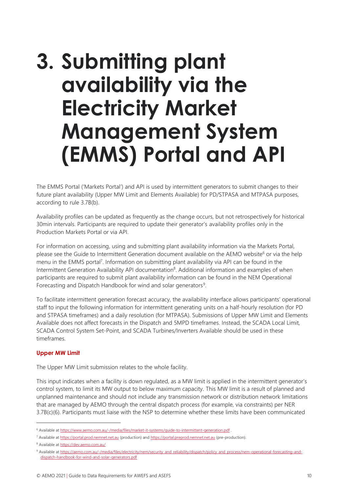### <span id="page-9-0"></span>**3. Submitting plant availability via the Electricity Market Management System (EMMS) Portal and API**

The EMMS Portal ('Markets Portal') and API is used by intermittent generators to submit changes to their future plant availability (Upper MW Limit and Elements Available) for PD/STPASA and MTPASA purposes, according to rule 3.7B(b).

Availability profiles can be updated as frequently as the change occurs, but not retrospectively for historical 30min intervals. Participants are required to update their generator's availability profiles only in the Production Markets Portal or via API.

For information on accessing, using and submitting plant availability information via the Markets Portal, please see the Guide to Intermittent Generation document available on the AEMO website<sup>6</sup> or via the help menu in the EMMS portal<sup>7</sup>. Information on submitting plant availability via API can be found in the Intermittent Generation Availability API documentation<sup>8</sup>. Additional information and examples of when participants are required to submit plant availability information can be found in the NEM Operational Forecasting and Dispatch Handbook for wind and solar generators<sup>9</sup>.

To facilitate intermittent generation forecast accuracy, the availability interface allows participants' operational staff to input the following information for intermittent generating units on a half-hourly resolution (for PD and STPASA timeframes) and a daily resolution (for MTPASA). Submissions of Upper MW Limit and Elements Available does not affect forecasts in the Dispatch and 5MPD timeframes. Instead, the SCADA Local Limit, SCADA Control System Set-Point, and SCADA Turbines/Inverters Available should be used in these timeframes.

### **Upper MW Limit**

The Upper MW Limit submission relates to the whole facility.

This input indicates when a facility is down regulated, as a MW limit is applied in the intermittent generator's control system, to limit its MW output to below maximum capacity. This MW limit is a result of planned and unplanned maintenance and should not include any transmission network or distribution network limitations that are managed by AEMO through the central dispatch process (for example, via constraints) per NER 3.7B(c)(6). Participants must liaise with the NSP to determine whether these limits have been communicated

<sup>&</sup>lt;sup>6</sup> Available a[t https://www.aemo.com.au/-/media/files/market-it-systems/guide-to-intermittent-generation.pdf](https://www.aemo.com.au/-/media/files/market-it-systems/guide-to-intermittent-generation.pdf)

<sup>7</sup> Available a[t https://portal.prod.nemnet.net.au](https://portal.prod.nemnet.net.au/) (production) and [https://portal.preprod.nemnet.net.au](https://portal.preprod.nemnet.net.au/) (pre-production).

<sup>8</sup> Available a[t https://dev.aemo.com.au/](https://dev.aemo.com.au/)

<sup>9</sup> Available a[t https://aemo.com.au/-/media/files/electricity/nem/security\\_and\\_reliability/dispatch/policy\\_and\\_process/nem-operational-forecasting-and](https://aemo.com.au/-/media/files/electricity/nem/security_and_reliability/dispatch/policy_and_process/nem-operational-forecasting-and-dispatch-handbook-for-wind-and-solar-generators.pdf)[dispatch-handbook-for-wind-and-solar-generators.pdf](https://aemo.com.au/-/media/files/electricity/nem/security_and_reliability/dispatch/policy_and_process/nem-operational-forecasting-and-dispatch-handbook-for-wind-and-solar-generators.pdf)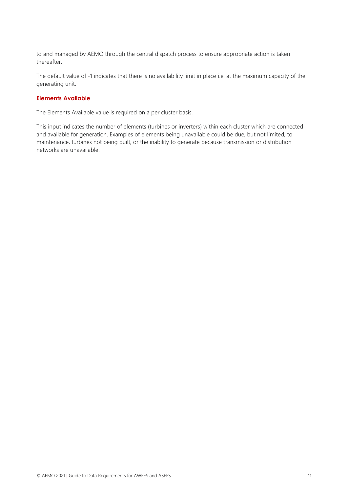to and managed by AEMO through the central dispatch process to ensure appropriate action is taken thereafter.

The default value of -1 indicates that there is no availability limit in place i.e. at the maximum capacity of the generating unit.

#### **Elements Available**

The Elements Available value is required on a per cluster basis.

This input indicates the number of elements (turbines or inverters) within each cluster which are connected and available for generation. Examples of elements being unavailable could be due, but not limited, to maintenance, turbines not being built, or the inability to generate because transmission or distribution networks are unavailable.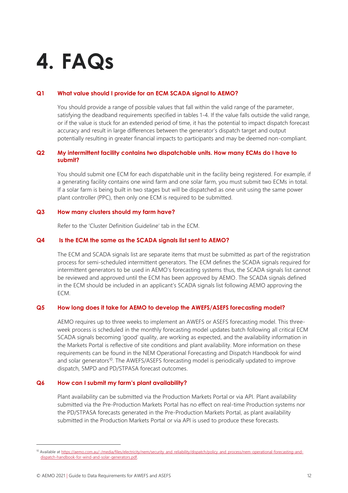## <span id="page-11-0"></span>**4. FAQs**

#### **Q1 What value should I provide for an ECM SCADA signal to AEMO?**

You should provide a range of possible values that fall within the valid range of the parameter, satisfying the deadband requirements specified in tables 1-4. If the value falls outside the valid range, or if the value is stuck for an extended period of time, it has the potential to impact dispatch forecast accuracy and result in large differences between the generator's dispatch target and output potentially resulting in greater financial impacts to participants and may be deemed non-compliant.

### **Q2 My intermittent facility contains two dispatchable units. How many ECMs do I have to submit?**

You should submit one ECM for each dispatchable unit in the facility being registered. For example, if a generating facility contains one wind farm and one solar farm, you must submit two ECMs in total. If a solar farm is being built in two stages but will be dispatched as one unit using the same power plant controller (PPC), then only one ECM is required to be submitted.

#### **Q3 How many clusters should my farm have?**

Refer to the 'Cluster Definition Guideline' tab in the ECM.

#### **Q4 Is the ECM the same as the SCADA signals list sent to AEMO?**

The ECM and SCADA signals list are separate items that must be submitted as part of the registration process for semi-scheduled intermittent generators. The ECM defines the SCADA signals required for intermittent generators to be used in AEMO's forecasting systems thus, the SCADA signals list cannot be reviewed and approved until the ECM has been approved by AEMO. The SCADA signals defined in the ECM should be included in an applicant's SCADA signals list following AEMO approving the ECM.

#### **Q5 How long does it take for AEMO to develop the AWEFS/ASEFS forecasting model?**

AEMO requires up to three weeks to implement an AWEFS or ASEFS forecasting model. This threeweek process is scheduled in the monthly forecasting model updates batch following all critical ECM SCADA signals becoming 'good' quality, are working as expected, and the availability information in the Markets Portal is reflective of site conditions and plant availability. More information on these requirements can be found in the NEM Operational Forecasting and Dispatch Handbook for wind and solar generators<sup>10</sup>. The AWEFS/ASEFS forecasting model is periodically updated to improve dispatch, 5MPD and PD/STPASA forecast outcomes.

#### **Q6 How can I submit my farm's plant availability?**

Plant availability can be submitted via the Production Markets Portal or via API. Plant availability submitted via the Pre-Production Markets Portal has no effect on real-time Production systems nor the PD/STPASA forecasts generated in the Pre-Production Markets Portal, as plant availability submitted in the Production Markets Portal or via API is used to produce these forecasts.

<sup>10</sup> Available a[t https://aemo.com.au/-/media/files/electricity/nem/security\\_and\\_reliability/dispatch/policy\\_and\\_process/nem-operational-forecasting-and](https://aemo.com.au/-/media/files/electricity/nem/security_and_reliability/dispatch/policy_and_process/nem-operational-forecasting-and-dispatch-handbook-for-wind-and-solar-generators.pdf)[dispatch-handbook-for-wind-and-solar-generators.pdf.](https://aemo.com.au/-/media/files/electricity/nem/security_and_reliability/dispatch/policy_and_process/nem-operational-forecasting-and-dispatch-handbook-for-wind-and-solar-generators.pdf)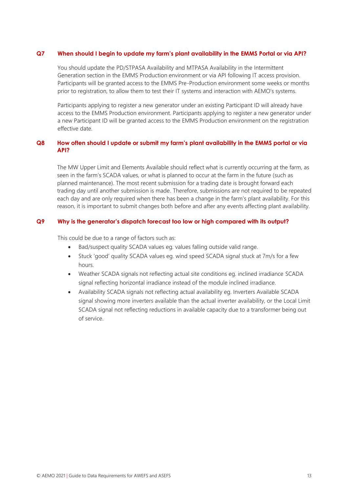#### **Q7 When should I begin to update my farm's plant availability in the EMMS Portal or via API?**

You should update the PD/STPASA Availability and MTPASA Availability in the Intermittent Generation section in the EMMS Production environment or via API following IT access provision. Participants will be granted access to the EMMS Pre-Production environment some weeks or months prior to registration, to allow them to test their IT systems and interaction with AEMO's systems.

Participants applying to register a new generator under an existing Participant ID will already have access to the EMMS Production environment. Participants applying to register a new generator under a new Participant ID will be granted access to the EMMS Production environment on the registration effective date.

### **Q8 How often should I update or submit my farm's plant availability in the EMMS portal or via API?**

The MW Upper Limit and Elements Available should reflect what is currently occurring at the farm, as seen in the farm's SCADA values, or what is planned to occur at the farm in the future (such as planned maintenance). The most recent submission for a trading date is brought forward each trading day until another submission is made. Therefore, submissions are not required to be repeated each day and are only required when there has been a change in the farm's plant availability. For this reason, it is important to submit changes both before and after any events affecting plant availability.

### **Q9 Why is the generator's dispatch forecast too low or high compared with its output?**

This could be due to a range of factors such as:

- Bad/suspect quality SCADA values eg. values falling outside valid range.
- Stuck 'good' quality SCADA values eg. wind speed SCADA signal stuck at 7m/s for a few hours.
- Weather SCADA signals not reflecting actual site conditions eg. inclined irradiance SCADA signal reflecting horizontal irradiance instead of the module inclined irradiance.
- Availability SCADA signals not reflecting actual availability eg. Inverters Available SCADA signal showing more inverters available than the actual inverter availability, or the Local Limit SCADA signal not reflecting reductions in available capacity due to a transformer being out of service.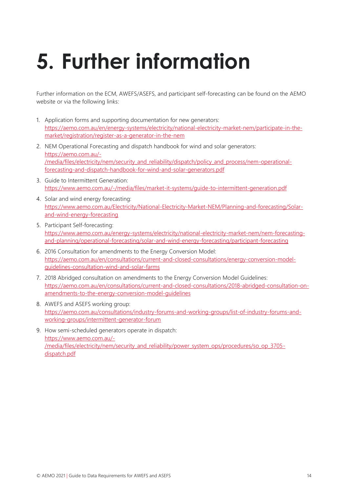# <span id="page-13-0"></span>**5. Further information**

Further information on the ECM, AWEFS/ASEFS, and participant self-forecasting can be found on the [AEMO](https://www.aemo.com.au/)  [website](https://www.aemo.com.au/) or via the following links:

- 1. Application forms and supporting documentation for new generators: [https://aemo.com.au/en/energy-systems/electricity/national-electricity-market-nem/participate-in-the](https://aemo.com.au/en/energy-systems/electricity/national-electricity-market-nem/participate-in-the-market/registration/register-as-a-generator-in-the-nem)[market/registration/register-as-a-generator-in-the-nem](https://aemo.com.au/en/energy-systems/electricity/national-electricity-market-nem/participate-in-the-market/registration/register-as-a-generator-in-the-nem)
- 2. NEM Operational Forecasting and dispatch handbook for wind and solar generators: [https://aemo.com.au/-](https://aemo.com.au/-/media/files/electricity/nem/security_and_reliability/dispatch/policy_and_process/nem-operational-forecasting-and-dispatch-handbook-for-wind-and-solar-generators.pdf) [/media/files/electricity/nem/security\\_and\\_reliability/dispatch/policy\\_and\\_process/nem-operational](https://aemo.com.au/-/media/files/electricity/nem/security_and_reliability/dispatch/policy_and_process/nem-operational-forecasting-and-dispatch-handbook-for-wind-and-solar-generators.pdf)[forecasting-and-dispatch-handbook-for-wind-and-solar-generators.pdf](https://aemo.com.au/-/media/files/electricity/nem/security_and_reliability/dispatch/policy_and_process/nem-operational-forecasting-and-dispatch-handbook-for-wind-and-solar-generators.pdf)
- 3. Guide to Intermittent Generation: <https://www.aemo.com.au/-/media/files/market-it-systems/guide-to-intermittent-generation.pdf>
- 4. Solar and wind energy forecasting: [https://www.aemo.com.au/Electricity/National-Electricity-Market-NEM/Planning-and-forecasting/Solar](https://www.aemo.com.au/Electricity/National-Electricity-Market-NEM/Planning-and-forecasting/Solar-and-wind-energy-forecasting)[and-wind-energy-forecasting](https://www.aemo.com.au/Electricity/National-Electricity-Market-NEM/Planning-and-forecasting/Solar-and-wind-energy-forecasting)
- 5. Participant Self-forecasting: [https://www.aemo.com.au/energy-systems/electricity/national-electricity-market-nem/nem-forecasting](https://www.aemo.com.au/energy-systems/electricity/national-electricity-market-nem/nem-forecasting-and-planning/operational-forecasting/solar-and-wind-energy-forecasting/participant-forecasting)[and-planning/operational-forecasting/solar-and-wind-energy-forecasting/participant-forecasting](https://www.aemo.com.au/energy-systems/electricity/national-electricity-market-nem/nem-forecasting-and-planning/operational-forecasting/solar-and-wind-energy-forecasting/participant-forecasting)
- 6. 2016 Consultation for amendments to the Energy Conversion Model: [https://aemo.com.au/en/consultations/current-and-closed-consultations/energy-conversion-model](https://aemo.com.au/en/consultations/current-and-closed-consultations/energy-conversion-model-guidelines-consultation-wind-and-solar-farms)[guidelines-consultation-wind-and-solar-farms](https://aemo.com.au/en/consultations/current-and-closed-consultations/energy-conversion-model-guidelines-consultation-wind-and-solar-farms)
- 7. 2018 Abridged consultation on amendments to the Energy Conversion Model Guidelines: [https://aemo.com.au/en/consultations/current-and-closed-consultations/2018-abridged-consultation-on](https://aemo.com.au/en/consultations/current-and-closed-consultations/2018-abridged-consultation-on-amendments-to-the-energy-conversion-model-guidelines)[amendments-to-the-energy-conversion-model-guidelines](https://aemo.com.au/en/consultations/current-and-closed-consultations/2018-abridged-consultation-on-amendments-to-the-energy-conversion-model-guidelines)
- 8. AWEFS and ASEFS working group: [https://aemo.com.au/consultations/industry-forums-and-working-groups/list-of-industry-forums-and](https://aemo.com.au/consultations/industry-forums-and-working-groups/list-of-industry-forums-and-working-groups/intermittent-generator-forum)[working-groups/intermittent-generator-forum](https://aemo.com.au/consultations/industry-forums-and-working-groups/list-of-industry-forums-and-working-groups/intermittent-generator-forum)
- 9. How semi-scheduled generators operate in dispatch: [https://www.aemo.com.au/-](https://www.aemo.com.au/-/media/files/electricity/nem/security_and_reliability/power_system_ops/procedures/so_op_3705-dispatch.pdf) [/media/files/electricity/nem/security\\_and\\_reliability/power\\_system\\_ops/procedures/so\\_op\\_3705](https://www.aemo.com.au/-/media/files/electricity/nem/security_and_reliability/power_system_ops/procedures/so_op_3705-dispatch.pdf) [dispatch.pdf](https://www.aemo.com.au/-/media/files/electricity/nem/security_and_reliability/power_system_ops/procedures/so_op_3705-dispatch.pdf)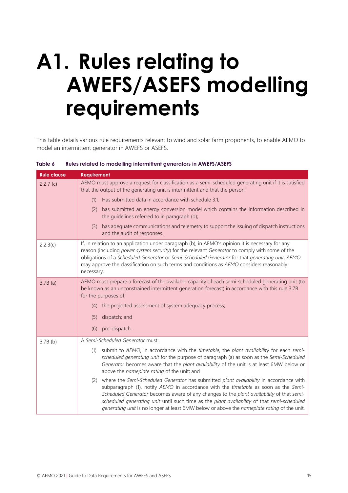## <span id="page-14-0"></span>**A1. Rules relating to AWEFS/ASEFS modelling requirements**

This table details various rule requirements relevant to wind and solar farm proponents, to enable AEMO to model an intermittent generator in AWEFS or ASEFS.

| <b>Rule clause</b> | <b>Requirement</b>                                                                                                                                                                                                                                                                                                                                                                                                                                                           |  |  |  |  |  |
|--------------------|------------------------------------------------------------------------------------------------------------------------------------------------------------------------------------------------------------------------------------------------------------------------------------------------------------------------------------------------------------------------------------------------------------------------------------------------------------------------------|--|--|--|--|--|
| 2.2.7(c)           | AEMO must approve a request for classification as a semi-scheduled generating unit if it is satisfied<br>that the output of the generating unit is intermittent and that the person:                                                                                                                                                                                                                                                                                         |  |  |  |  |  |
|                    | Has submitted data in accordance with schedule 3.1;<br>(1)                                                                                                                                                                                                                                                                                                                                                                                                                   |  |  |  |  |  |
|                    | (2) has submitted an energy conversion model which contains the information described in<br>the guidelines referred to in paragraph (d);                                                                                                                                                                                                                                                                                                                                     |  |  |  |  |  |
|                    | has adequate communications and telemetry to support the issuing of dispatch instructions<br>(3)<br>and the audit of responses.                                                                                                                                                                                                                                                                                                                                              |  |  |  |  |  |
| 2.2.3(c)           | If, in relation to an application under paragraph (b), in AEMO's opinion it is necessary for any<br>reason (including power system security) for the relevant Generator to comply with some of the<br>obligations of a Scheduled Generator or Semi-Scheduled Generator for that generating unit, AEMO<br>may approve the classification on such terms and conditions as AEMO considers reasonably<br>necessary.                                                              |  |  |  |  |  |
| $3.7B$ (a)         | AEMO must prepare a forecast of the available capacity of each semi-scheduled generating unit (to<br>be known as an unconstrained intermittent generation forecast) in accordance with this rule 3.7B<br>for the purposes of:                                                                                                                                                                                                                                                |  |  |  |  |  |
|                    | (4) the projected assessment of system adequacy process;                                                                                                                                                                                                                                                                                                                                                                                                                     |  |  |  |  |  |
|                    | dispatch; and<br>(5)                                                                                                                                                                                                                                                                                                                                                                                                                                                         |  |  |  |  |  |
|                    | pre-dispatch.<br>(6)                                                                                                                                                                                                                                                                                                                                                                                                                                                         |  |  |  |  |  |
| $3.7B$ (b)         | A Semi-Scheduled Generator must:                                                                                                                                                                                                                                                                                                                                                                                                                                             |  |  |  |  |  |
|                    | submit to AEMO, in accordance with the timetable, the plant availability for each semi-<br>(1)<br>scheduled generating unit for the purpose of paragraph (a) as soon as the Semi-Scheduled<br>Generator becomes aware that the plant availability of the unit is at least 6MW below or<br>above the nameplate rating of the unit; and                                                                                                                                        |  |  |  |  |  |
|                    | where the Semi-Scheduled Generator has submitted plant availability in accordance with<br>(2)<br>subparagraph (1), notify AEMO in accordance with the timetable as soon as the Semi-<br>Scheduled Generator becomes aware of any changes to the plant availability of that semi-<br>scheduled generating unit until such time as the plant availability of that semi-scheduled<br>generating unit is no longer at least 6MW below or above the nameplate rating of the unit. |  |  |  |  |  |

<span id="page-14-1"></span>**Table 6 Rules related to modelling intermittent generators in AWEFS/ASEFS**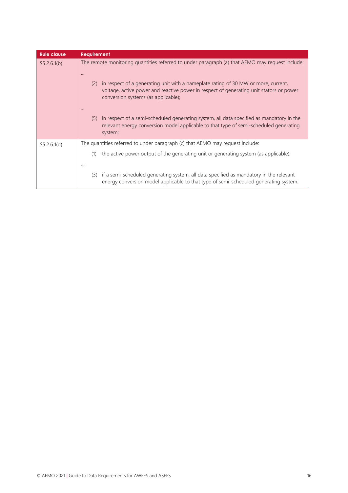| <b>Rule clause</b> | <b>Requirement</b>                                                                                                                                                                                                          |
|--------------------|-----------------------------------------------------------------------------------------------------------------------------------------------------------------------------------------------------------------------------|
| S5.2.6.1(b)        | The remote monitoring quantities referred to under paragraph (a) that AEMO may request include:<br>$\cdots$                                                                                                                 |
|                    | in respect of a generating unit with a nameplate rating of 30 MW or more, current,<br>(2)<br>voltage, active power and reactive power in respect of generating unit stators or power<br>conversion systems (as applicable); |
|                    | in respect of a semi-scheduled generating system, all data specified as mandatory in the<br>(5)<br>relevant energy conversion model applicable to that type of semi-scheduled generating<br>system;                         |
| S5.2.6.1(d)        | The quantities referred to under paragraph (c) that AEMO may request include:                                                                                                                                               |
|                    | the active power output of the generating unit or generating system (as applicable);<br>(1)<br>                                                                                                                             |
|                    | if a semi-scheduled generating system, all data specified as mandatory in the relevant<br>(3)<br>energy conversion model applicable to that type of semi-scheduled generating system.                                       |